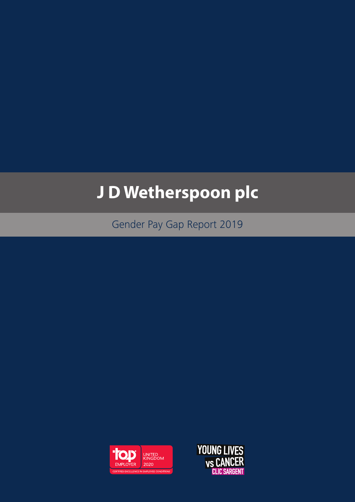# **J D Wetherspoon plc**

Gender Pay Gap Report 2019